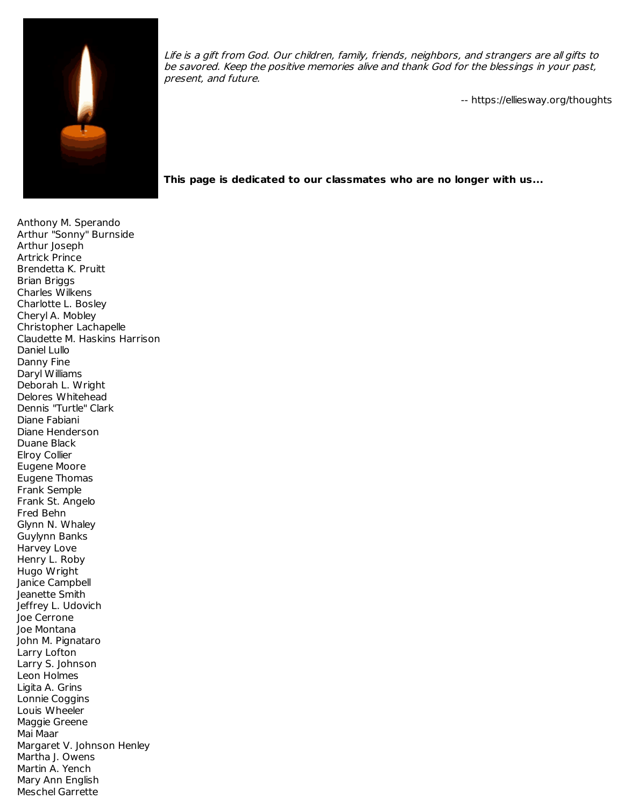

Life is <sup>a</sup> gift from God. Our children, family, friends, neighbors, and strangers are all gifts to be savored. Keep the positive memories alive and thank God for the blessings in your past, present, and future.

-- https://elliesway.org/thoughts

**This page is dedicated to our classmates who are no longer with us...**

Anthony M. Sperando Arthur "Sonny" Burnside Arthur Joseph Artrick Prince Brendetta K. Pruitt Brian Briggs Charles Wilkens Charlotte L. Bosley Cheryl A. Mobley Christopher Lachapelle Claudette M. Haskins Harrison Daniel Lullo Danny Fine Daryl Williams Deborah L. Wright Delores Whitehead Dennis "Turtle" Clark Diane Fabiani Diane Henderson Duane Black Elroy Collier Eugene Moore Eugene Thomas Frank Semple Frank St. Angelo Fred Behn Glynn N. Whaley Guylynn Banks Harvey Love Henry L. Roby Hugo Wright Janice Campbell Jeanette Smith Jeffrey L. Udovich Joe Cerrone Joe Montana John M. Pignataro Larry Lofton Larry S. Johnson Leon Holmes Ligita A. Grins Lonnie Coggins Louis Wheeler Maggie Greene Mai Maar Margaret V. Johnson Henley Martha J. Owens Martin A. Yench Mary Ann English Meschel Garrette